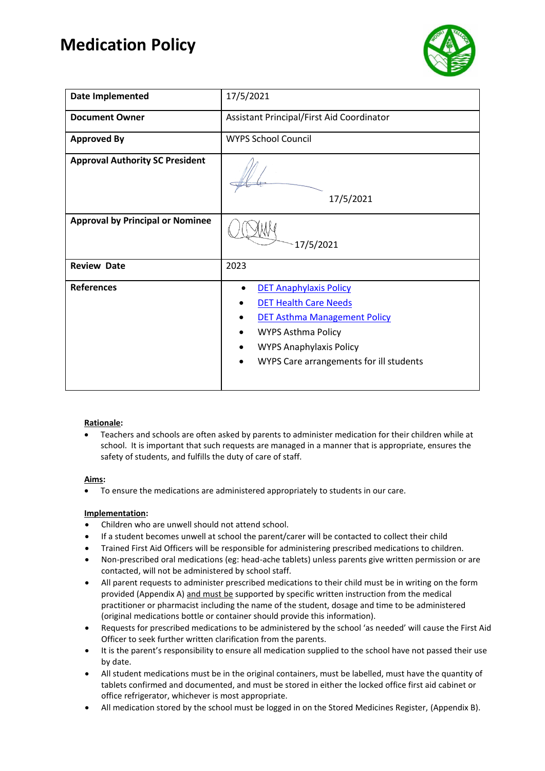### **Medication Policy**



| Date Implemented                        | 17/5/2021                                                                                                                                                                                               |  |  |  |  |
|-----------------------------------------|---------------------------------------------------------------------------------------------------------------------------------------------------------------------------------------------------------|--|--|--|--|
| <b>Document Owner</b>                   | Assistant Principal/First Aid Coordinator                                                                                                                                                               |  |  |  |  |
| <b>Approved By</b>                      | <b>WYPS School Council</b>                                                                                                                                                                              |  |  |  |  |
| <b>Approval Authority SC President</b>  | 17/5/2021                                                                                                                                                                                               |  |  |  |  |
| <b>Approval by Principal or Nominee</b> | 17/5/2021                                                                                                                                                                                               |  |  |  |  |
| <b>Review Date</b>                      | 2023                                                                                                                                                                                                    |  |  |  |  |
| <b>References</b>                       | <b>DET Anaphylaxis Policy</b><br><b>DET Health Care Needs</b><br>DET Asthma Management Policy<br><b>WYPS Asthma Policy</b><br><b>WYPS Anaphylaxis Policy</b><br>WYPS Care arrangements for ill students |  |  |  |  |

#### **Rationale:**

• Teachers and schools are often asked by parents to administer medication for their children while at school. It is important that such requests are managed in a manner that is appropriate, ensures the safety of students, and fulfills the duty of care of staff.

#### **Aims:**

• To ensure the medications are administered appropriately to students in our care.

#### **Implementation:**

- Children who are unwell should not attend school.
- If a student becomes unwell at school the parent/carer will be contacted to collect their child
- Trained First Aid Officers will be responsible for administering prescribed medications to children.
- Non-prescribed oral medications (eg: head-ache tablets) unless parents give written permission or are contacted, will not be administered by school staff.
- All parent requests to administer prescribed medications to their child must be in writing on the form provided (Appendix A) and must be supported by specific written instruction from the medical practitioner or pharmacist including the name of the student, dosage and time to be administered (original medications bottle or container should provide this information).
- Requests for prescribed medications to be administered by the school 'as needed' will cause the First Aid Officer to seek further written clarification from the parents.
- It is the parent's responsibility to ensure all medication supplied to the school have not passed their use by date.
- All student medications must be in the original containers, must be labelled, must have the quantity of tablets confirmed and documented, and must be stored in either the locked office first aid cabinet or office refrigerator, whichever is most appropriate.
- All medication stored by the school must be logged in on the Stored Medicines Register, (Appendix B).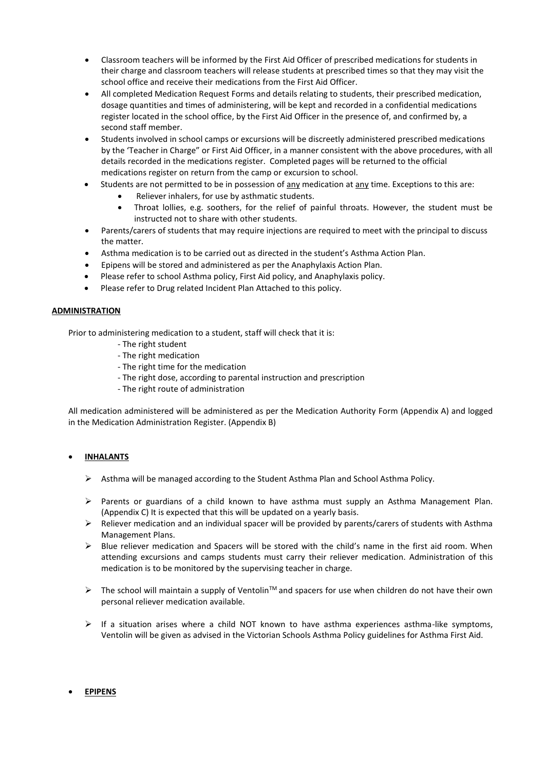- Classroom teachers will be informed by the First Aid Officer of prescribed medications for students in their charge and classroom teachers will release students at prescribed times so that they may visit the school office and receive their medications from the First Aid Officer.
- All completed Medication Request Forms and details relating to students, their prescribed medication, dosage quantities and times of administering, will be kept and recorded in a confidential medications register located in the school office, by the First Aid Officer in the presence of, and confirmed by, a second staff member.
- Students involved in school camps or excursions will be discreetly administered prescribed medications by the 'Teacher in Charge" or First Aid Officer, in a manner consistent with the above procedures, with all details recorded in the medications register. Completed pages will be returned to the official medications register on return from the camp or excursion to school.
- Students are not permitted to be in possession of any medication at any time. Exceptions to this are:
	- Reliever inhalers, for use by asthmatic students.
	- Throat lollies, e.g. soothers, for the relief of painful throats. However, the student must be instructed not to share with other students.
- Parents/carers of students that may require injections are required to meet with the principal to discuss the matter.
- Asthma medication is to be carried out as directed in the student's Asthma Action Plan.
- Epipens will be stored and administered as per the Anaphylaxis Action Plan.
- Please refer to school Asthma policy, First Aid policy, and Anaphylaxis policy.
- Please refer to Drug related Incident Plan Attached to this policy.

#### **ADMINISTRATION**

Prior to administering medication to a student, staff will check that it is:

- The right student
- The right medication
- The right time for the medication
- The right dose, according to parental instruction and prescription
- The right route of administration

All medication administered will be administered as per the Medication Authority Form (Appendix A) and logged in the Medication Administration Register. (Appendix B)

#### • **INHALANTS**

- $\triangleright$  Asthma will be managed according to the Student Asthma Plan and School Asthma Policy.
- $\triangleright$  Parents or guardians of a child known to have asthma must supply an Asthma Management Plan. (Appendix C) It is expected that this will be updated on a yearly basis.
- $\triangleright$  Reliever medication and an individual spacer will be provided by parents/carers of students with Asthma Management Plans.
- ➢ Blue reliever medication and Spacers will be stored with the child's name in the first aid room. When attending excursions and camps students must carry their reliever medication. Administration of this medication is to be monitored by the supervising teacher in charge.
- $\triangleright$  The school will maintain a supply of Ventolin<sup>TM</sup> and spacers for use when children do not have their own personal reliever medication available.
- $\triangleright$  If a situation arises where a child NOT known to have asthma experiences asthma-like symptoms, Ventolin will be given as advised in the Victorian Schools Asthma Policy guidelines for Asthma First Aid.

#### • **EPIPENS**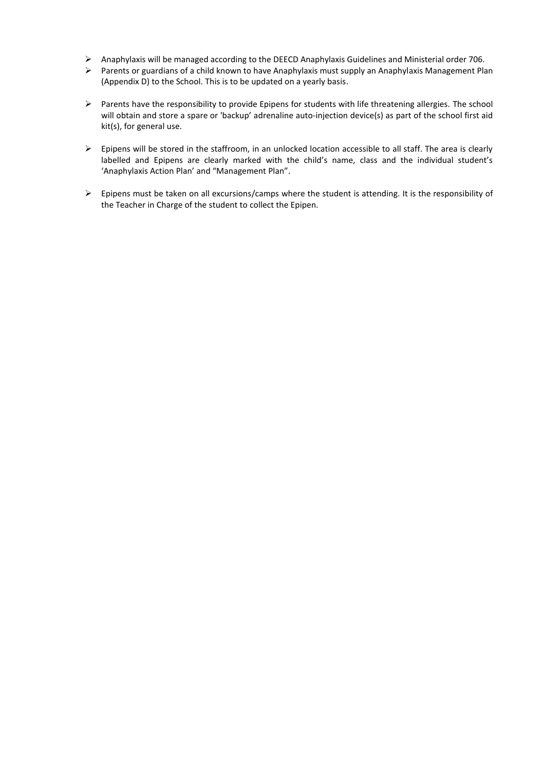- ➢ Anaphylaxis will be managed according to the DEECD Anaphylaxis Guidelines and Ministerial order 706.
- ➢ Parents or guardians of a child known to have Anaphylaxis must supply an Anaphylaxis Management Plan (Appendix D) to the School. This is to be updated on a yearly basis.
- ➢ Parents have the responsibility to provide Epipens for students with life threatening allergies. The school will obtain and store a spare or 'backup' adrenaline auto-injection device(s) as part of the school first aid kit(s), for general use.
- $\triangleright$  Epipens will be stored in the staffroom, in an unlocked location accessible to all staff. The area is clearly labelled and Epipens are clearly marked with the child's name, class and the individual student's 'Anaphylaxis Action Plan' and "Management Plan".
- ➢ Epipens must be taken on all excursions/camps where the student is attending. It is the responsibility of the Teacher in Charge of the student to collect the Epipen.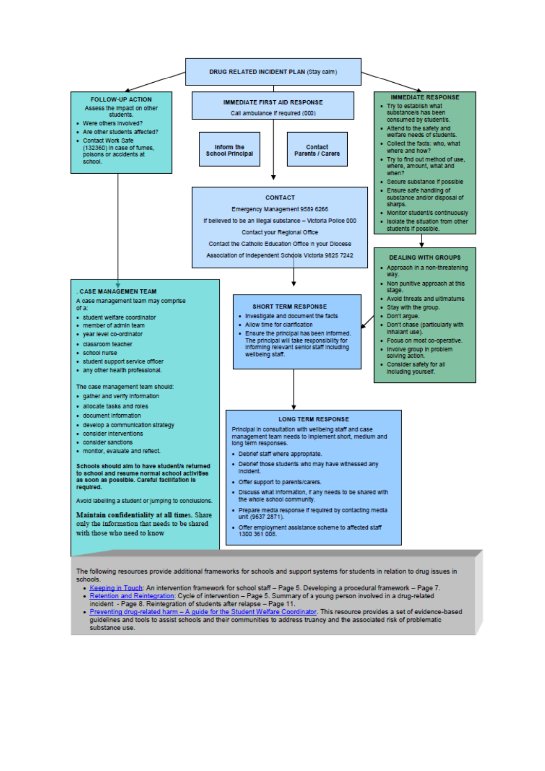

The following resources provide additional frameworks for schools and support systems for students in relation to drug issues in schools

- Keeping in Touch: An intervention framework for school staff Page 5. Developing a procedural framework Page 7.<br>- Retention and Reintegration: Cycle of intervention Page 5. Summary of a young person involved in a dr
- incident Page 8. Reintegration of students after relapse Page 11.
- . Preventing drug-related harm A guide for the Student Welfare Coordinator. This resource provides a set of evidence-based quidelines and tools to assist schools and their communities to address truancy and the associated risk of problematic substance use.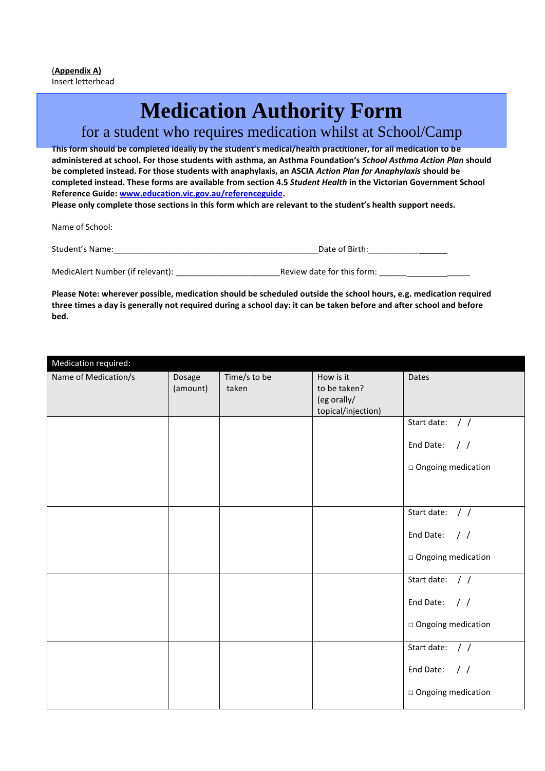# **Medication Authority Form**

### for a student who requires medication whilst at School/Camp

**This form should be completed ideally by the student's medical/health practitioner, for all medication to be administered at school. For those students with asthma, an Asthma Foundation's** *School Asthma Action Plan* **should be completed instead. For those students with anaphylaxis, an ASCIA** *Action Plan for Anaphylaxis* **should be completed instead. These forms are available from section 4.5** *Student Health* **in the Victorian Government School Reference Guide[: www.education.vic.gov.au/referenceguide.](http://www.education.vic.gov.au/referenceguide)** 

**Please only complete those sections in this form which are relevant to the student's health support needs.** 

Name of School:

| Student's Name:                  | Date of Birth:             |
|----------------------------------|----------------------------|
|                                  |                            |
| MedicAlert Number (if relevant): | Review date for this form: |

**Please Note: wherever possible, medication should be scheduled outside the school hours, e.g. medication required three times a day is generally not required during a school day: it can be taken before and after school and before bed.**

| Medication required: |                    |                       |                                                                |                              |
|----------------------|--------------------|-----------------------|----------------------------------------------------------------|------------------------------|
| Name of Medication/s | Dosage<br>(amount) | Time/s to be<br>taken | How is it<br>to be taken?<br>(eg orally/<br>topical/injection) | Dates                        |
|                      |                    |                       |                                                                | Start date: $//$             |
|                      |                    |                       |                                                                | End Date:<br>$\frac{1}{2}$   |
|                      |                    |                       |                                                                | $\Box$ Ongoing medication    |
|                      |                    |                       |                                                                |                              |
|                      |                    |                       |                                                                | Start date: $//$             |
|                      |                    |                       |                                                                | End Date: $//$               |
|                      |                    |                       |                                                                | $\Box$ Ongoing medication    |
|                      |                    |                       |                                                                | Start date: / /              |
|                      |                    |                       |                                                                | End Date:<br>$\frac{1}{2}$   |
|                      |                    |                       |                                                                | $\square$ Ongoing medication |
|                      |                    |                       |                                                                | Start date: / /              |
|                      |                    |                       |                                                                | End Date:<br>$\frac{1}{2}$   |
|                      |                    |                       |                                                                | $\Box$ Ongoing medication    |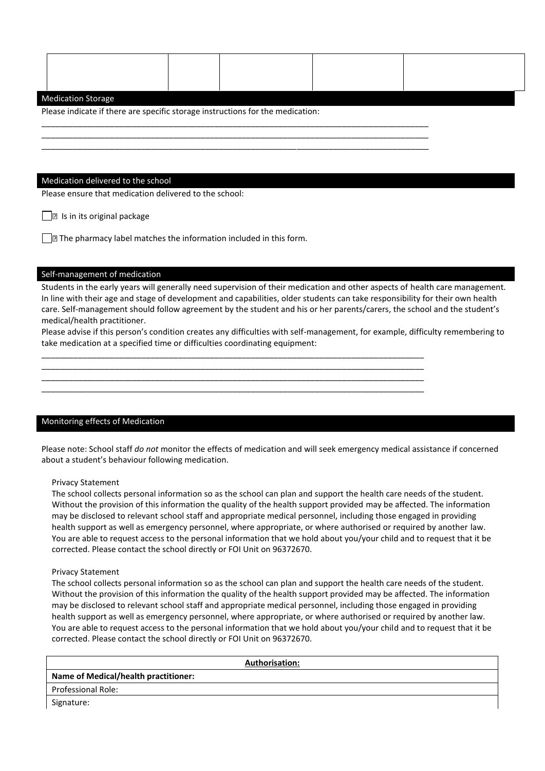#### Medication Storage

Please indicate if there are specific storage instructions for the medication:

\_\_\_\_\_\_\_\_\_\_\_\_\_\_\_\_\_\_\_\_\_\_\_\_\_\_\_\_\_\_\_\_\_\_\_\_\_\_\_\_\_\_\_\_\_\_\_\_\_\_\_\_\_\_\_\_\_\_\_\_\_\_\_\_\_\_\_\_\_\_\_\_\_\_\_\_\_\_\_\_\_\_\_\_\_ \_\_\_\_\_\_\_\_\_\_\_\_\_\_\_\_\_\_\_\_\_\_\_\_\_\_\_\_\_\_\_\_\_\_\_\_\_\_\_\_\_\_\_\_\_\_\_\_\_\_\_\_\_\_\_\_\_\_\_\_\_\_\_\_\_\_\_\_\_\_\_\_\_\_\_\_\_\_\_\_\_\_\_\_\_ \_\_\_\_\_\_\_\_\_\_\_\_\_\_\_\_\_\_\_\_\_\_\_\_\_\_\_\_\_\_\_\_\_\_\_\_\_\_\_\_\_\_\_\_\_\_\_\_\_\_\_\_\_\_\_\_\_\_\_\_\_\_\_\_\_\_\_\_\_\_\_\_\_\_\_\_\_\_\_\_\_\_\_\_\_

#### Medication delivered to the school

Please ensure that medication delivered to the school:

 $\Box$  Is in its original package

 $\Box$  The pharmacy label matches the information included in this form.

#### Self-management of medication

Students in the early years will generally need supervision of their medication and other aspects of health care management. In line with their age and stage of development and capabilities, older students can take responsibility for their own health care. Self-management should follow agreement by the student and his or her parents/carers, the school and the student's medical/health practitioner.

Please advise if this person's condition creates any difficulties with self-management, for example, difficulty remembering to take medication at a specified time or difficulties coordinating equipment:

\_\_\_\_\_\_\_\_\_\_\_\_\_\_\_\_\_\_\_\_\_\_\_\_\_\_\_\_\_\_\_\_\_\_\_\_\_\_\_\_\_\_\_\_\_\_\_\_\_\_\_\_\_\_\_\_\_\_\_\_\_\_\_\_\_\_\_\_\_\_\_\_\_\_\_\_\_\_\_\_\_\_\_\_ \_\_\_\_\_\_\_\_\_\_\_\_\_\_\_\_\_\_\_\_\_\_\_\_\_\_\_\_\_\_\_\_\_\_\_\_\_\_\_\_\_\_\_\_\_\_\_\_\_\_\_\_\_\_\_\_\_\_\_\_\_\_\_\_\_\_\_\_\_\_\_\_\_\_\_\_\_\_\_\_\_\_\_\_ \_\_\_\_\_\_\_\_\_\_\_\_\_\_\_\_\_\_\_\_\_\_\_\_\_\_\_\_\_\_\_\_\_\_\_\_\_\_\_\_\_\_\_\_\_\_\_\_\_\_\_\_\_\_\_\_\_\_\_\_\_\_\_\_\_\_\_\_\_\_\_\_\_\_\_\_\_\_\_\_\_\_\_\_ \_\_\_\_\_\_\_\_\_\_\_\_\_\_\_\_\_\_\_\_\_\_\_\_\_\_\_\_\_\_\_\_\_\_\_\_\_\_\_\_\_\_\_\_\_\_\_\_\_\_\_\_\_\_\_\_\_\_\_\_\_\_\_\_\_\_\_\_\_\_\_\_\_\_\_\_\_\_\_\_\_\_\_\_

#### Monitoring effects of Medication

Please note: School staff *do not* monitor the effects of medication and will seek emergency medical assistance if concerned about a student's behaviour following medication.

#### Privacy Statement

The school collects personal information so as the school can plan and support the health care needs of the student. Without the provision of this information the quality of the health support provided may be affected. The information may be disclosed to relevant school staff and appropriate medical personnel, including those engaged in providing health support as well as emergency personnel, where appropriate, or where authorised or required by another law. You are able to request access to the personal information that we hold about you/your child and to request that it be corrected. Please contact the school directly or FOI Unit on 96372670.

#### Privacy Statement

The school collects personal information so as the school can plan and support the health care needs of the student. Without the provision of this information the quality of the health support provided may be affected. The information may be disclosed to relevant school staff and appropriate medical personnel, including those engaged in providing health support as well as emergency personnel, where appropriate, or where authorised or required by another law. You are able to request access to the personal information that we hold about you/your child and to request that it be corrected. Please contact the school directly or FOI Unit on 96372670.

| <b>Authorisation:</b>                       |
|---------------------------------------------|
| <b>Name of Medical/health practitioner:</b> |
| <b>Professional Role:</b>                   |
| Signature:                                  |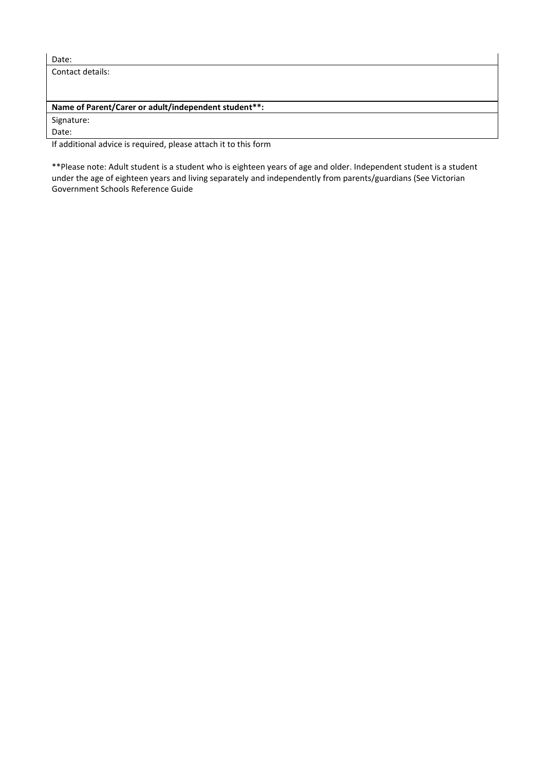| I<br>. .<br>۰,<br>×<br>× |  |
|--------------------------|--|

Contact details:

#### **Name of Parent/Carer or adult/independent student\*\*:**

Signature:

Date:

If additional advice is required, please attach it to this form

\*\*Please note: Adult student is a student who is eighteen years of age and older. Independent student is a student under the age of eighteen years and living separately and independently from parents/guardians (See Victorian Government Schools Reference Guide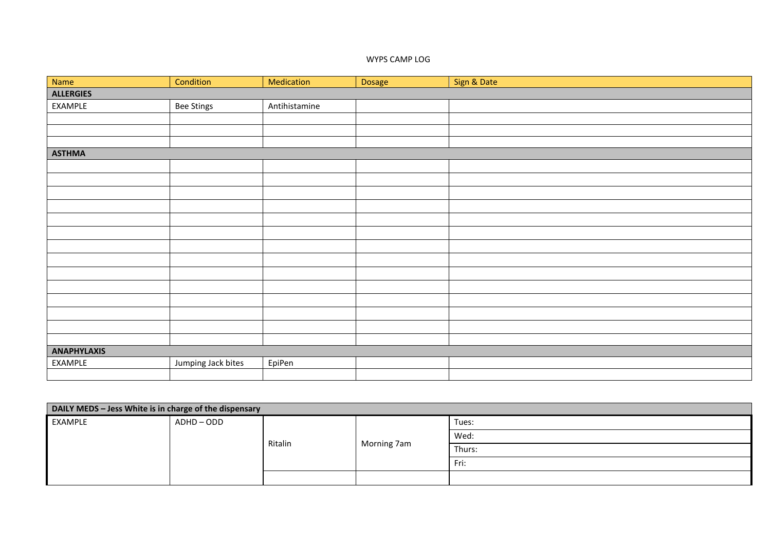#### WYPS CAMP LOG

| Name               | Condition          | Medication    | Dosage | Sign & Date |  |  |  |
|--------------------|--------------------|---------------|--------|-------------|--|--|--|
| <b>ALLERGIES</b>   |                    |               |        |             |  |  |  |
| EXAMPLE            | Bee Stings         | Antihistamine |        |             |  |  |  |
|                    |                    |               |        |             |  |  |  |
|                    |                    |               |        |             |  |  |  |
|                    |                    |               |        |             |  |  |  |
| <b>ASTHMA</b>      |                    |               |        |             |  |  |  |
|                    |                    |               |        |             |  |  |  |
|                    |                    |               |        |             |  |  |  |
|                    |                    |               |        |             |  |  |  |
|                    |                    |               |        |             |  |  |  |
|                    |                    |               |        |             |  |  |  |
|                    |                    |               |        |             |  |  |  |
|                    |                    |               |        |             |  |  |  |
|                    |                    |               |        |             |  |  |  |
|                    |                    |               |        |             |  |  |  |
|                    |                    |               |        |             |  |  |  |
|                    |                    |               |        |             |  |  |  |
|                    |                    |               |        |             |  |  |  |
|                    |                    |               |        |             |  |  |  |
|                    |                    |               |        |             |  |  |  |
| <b>ANAPHYLAXIS</b> |                    |               |        |             |  |  |  |
| EXAMPLE            | Jumping Jack bites | EpiPen        |        |             |  |  |  |
|                    |                    |               |        |             |  |  |  |

| DAILY MEDS - Jess White is in charge of the dispensary |          |         |             |        |  |  |
|--------------------------------------------------------|----------|---------|-------------|--------|--|--|
| EXAMPLE                                                | ADHD-ODD |         |             | Tues:  |  |  |
|                                                        |          | Ritalin | Morning 7am | Wed:   |  |  |
|                                                        |          |         |             | Thurs: |  |  |
|                                                        |          |         |             | Fri:   |  |  |
|                                                        |          |         |             |        |  |  |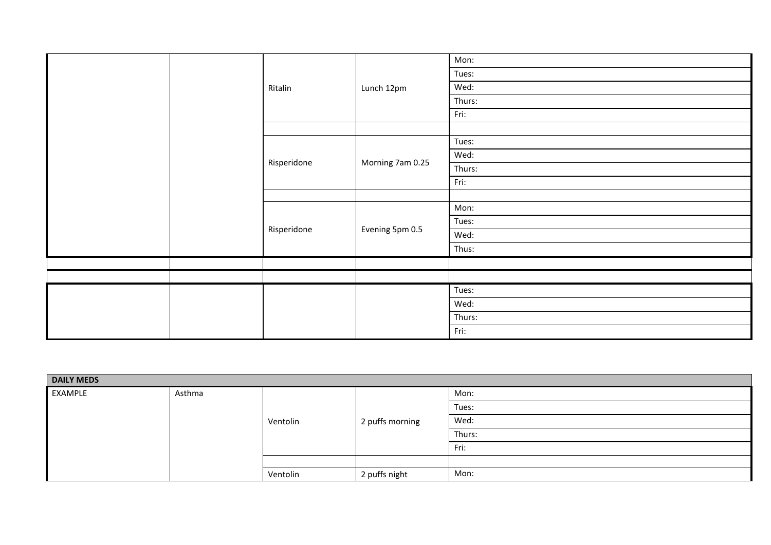|  |             |                  | Mon:   |
|--|-------------|------------------|--------|
|  |             |                  | Tues:  |
|  | Ritalin     | Lunch 12pm       | Wed:   |
|  |             |                  | Thurs: |
|  |             |                  | Fri:   |
|  |             |                  |        |
|  |             |                  | Tues:  |
|  |             |                  | Wed:   |
|  | Risperidone | Morning 7am 0.25 | Thurs: |
|  |             |                  | Fri:   |
|  |             |                  |        |
|  | Risperidone | Evening 5pm 0.5  | Mon:   |
|  |             |                  | Tues:  |
|  |             |                  | Wed:   |
|  |             |                  | Thus:  |
|  |             |                  |        |
|  |             |                  |        |
|  |             |                  | Tues:  |
|  |             |                  | Wed:   |
|  |             |                  | Thurs: |
|  |             |                  | Fri:   |
|  |             |                  |        |

| <b>DAILY MEDS</b> |        |          |                 |        |  |  |
|-------------------|--------|----------|-----------------|--------|--|--|
| EXAMPLE           | Asthma |          |                 | Mon:   |  |  |
|                   |        |          |                 | Tues:  |  |  |
|                   |        | Ventolin | 2 puffs morning | Wed:   |  |  |
|                   |        |          |                 | Thurs: |  |  |
|                   |        |          |                 | Fri:   |  |  |
|                   |        |          |                 |        |  |  |
|                   |        | Ventolin | 2 puffs night   | Mon:   |  |  |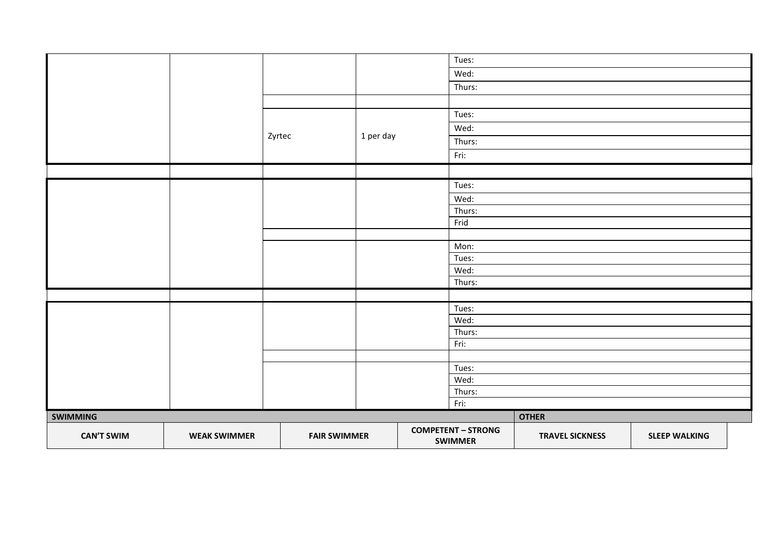| <b>SWIMMING</b> |  |        |                | Thurs:<br>Fri:<br><b>COMPETENT - STRONG</b> | <b>OTHER</b> |  |
|-----------------|--|--------|----------------|---------------------------------------------|--------------|--|
|                 |  |        |                | Wed:                                        |              |  |
|                 |  |        |                | Tues:                                       |              |  |
|                 |  |        |                | Fri:                                        |              |  |
|                 |  |        |                | Thurs:                                      |              |  |
|                 |  |        |                | Wed:                                        |              |  |
|                 |  |        |                | Tues:                                       |              |  |
|                 |  |        |                | Thurs:                                      |              |  |
|                 |  |        |                | Wed:                                        |              |  |
|                 |  |        |                | Tues:                                       |              |  |
|                 |  |        | Mon:           |                                             |              |  |
|                 |  |        |                |                                             |              |  |
|                 |  |        | Thurs:<br>Frid |                                             |              |  |
|                 |  |        |                | Wed:                                        |              |  |
|                 |  |        |                | Tues:                                       |              |  |
|                 |  |        |                |                                             |              |  |
|                 |  |        |                | Fri:                                        |              |  |
|                 |  | Zyrtec | 1 per day      | Thurs:                                      |              |  |
|                 |  |        |                | Wed:                                        |              |  |
|                 |  |        |                | Tues:                                       |              |  |
|                 |  |        |                |                                             |              |  |
|                 |  |        |                | Thurs:                                      |              |  |
|                 |  |        |                | Wed:                                        |              |  |
|                 |  |        |                | Tues:                                       |              |  |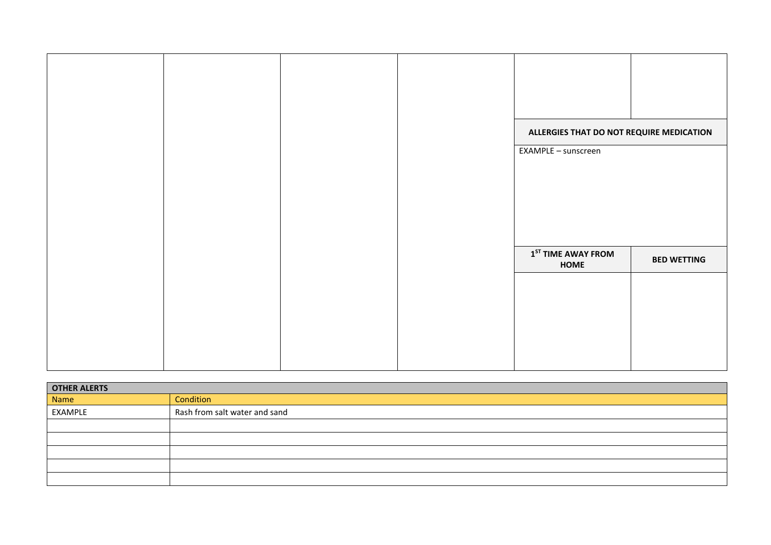| ALLERGIES THAT DO NOT REQUIRE MEDICATION |                    |
|------------------------------------------|--------------------|
| EXAMPLE - sunscreen                      |                    |
|                                          |                    |
|                                          |                    |
|                                          |                    |
|                                          |                    |
|                                          |                    |
|                                          |                    |
|                                          |                    |
|                                          |                    |
|                                          |                    |
|                                          |                    |
| $1ST$ TIME AWAY FROM                     | <b>BED WETTING</b> |
| HOME                                     |                    |
|                                          |                    |
|                                          |                    |
|                                          |                    |
|                                          |                    |
|                                          |                    |
|                                          |                    |
|                                          |                    |
|                                          |                    |
|                                          |                    |
|                                          |                    |
|                                          |                    |
|                                          |                    |

| <b>OTHER ALERTS</b> |                               |  |  |
|---------------------|-------------------------------|--|--|
| Name                | Condition                     |  |  |
| EXAMPLE             | Rash from salt water and sand |  |  |
|                     |                               |  |  |
|                     |                               |  |  |
|                     |                               |  |  |
|                     |                               |  |  |
|                     |                               |  |  |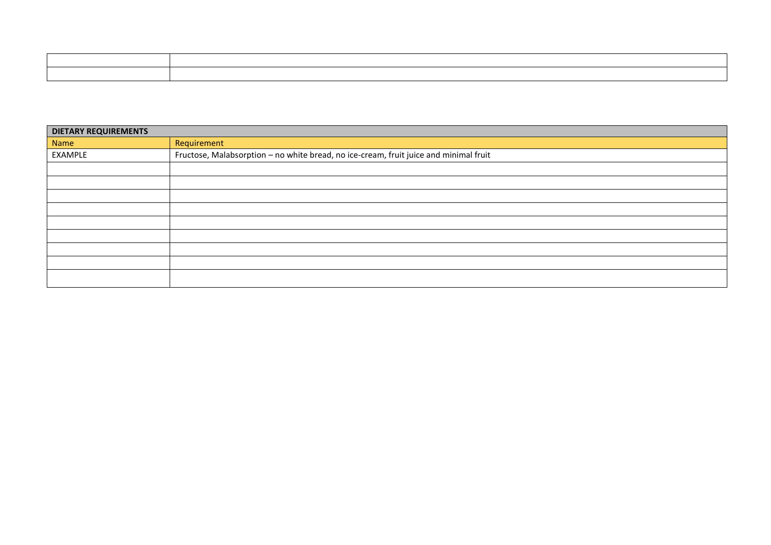| ,一个人的人都是不是,我们的人都是不是,我们的人都是不是,我们的人都是不是,我们的人都是不是,我们的人都是不是,我们的人都是不是,我们的人都是不是,我们的人都是不 |
|-----------------------------------------------------------------------------------|
|                                                                                   |
|                                                                                   |
|                                                                                   |
|                                                                                   |
|                                                                                   |
|                                                                                   |
|                                                                                   |
|                                                                                   |
|                                                                                   |

| <b>DIETARY REQUIREMENTS</b> |                                                                                       |
|-----------------------------|---------------------------------------------------------------------------------------|
| Name                        | Requirement                                                                           |
| EXAMPLE                     | Fructose, Malabsorption - no white bread, no ice-cream, fruit juice and minimal fruit |
|                             |                                                                                       |
|                             |                                                                                       |
|                             |                                                                                       |
|                             |                                                                                       |
|                             |                                                                                       |
|                             |                                                                                       |
|                             |                                                                                       |
|                             |                                                                                       |
|                             |                                                                                       |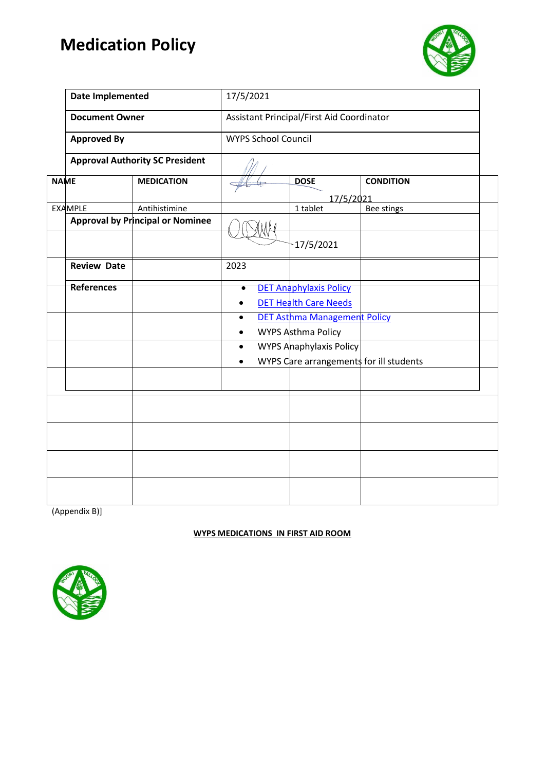## **Medication Policy**



|             | <b>Date Implemented</b> |                                         | 17/5/2021                                 |                                         |                  |  |  |
|-------------|-------------------------|-----------------------------------------|-------------------------------------------|-----------------------------------------|------------------|--|--|
|             | <b>Document Owner</b>   |                                         | Assistant Principal/First Aid Coordinator |                                         |                  |  |  |
|             | <b>Approved By</b>      |                                         | <b>WYPS School Council</b>                |                                         |                  |  |  |
|             |                         | <b>Approval Authority SC President</b>  |                                           |                                         |                  |  |  |
| <b>NAME</b> |                         | <b>MEDICATION</b>                       |                                           | <b>DOSE</b>                             | <b>CONDITION</b> |  |  |
|             | <b>EXAMPLE</b>          | Antihistimine                           |                                           | 17/5/2021<br>1 tablet                   | Bee stings       |  |  |
|             |                         | <b>Approval by Principal or Nominee</b> |                                           |                                         |                  |  |  |
|             |                         |                                         |                                           | 17/5/2021                               |                  |  |  |
|             | <b>Review Date</b>      |                                         | 2023                                      |                                         |                  |  |  |
|             | <b>References</b>       |                                         | $\bullet$                                 | <b>DET Anaphylaxis Policy</b>           |                  |  |  |
|             |                         |                                         |                                           | <b>DET Health Care Needs</b>            |                  |  |  |
|             |                         |                                         | ٠                                         | DET Asthma Management Policy            |                  |  |  |
|             |                         |                                         |                                           | WYPS Asthma Policy                      |                  |  |  |
|             |                         |                                         | $\bullet$                                 | <b>WYPS Anaphylaxis Policy</b>          |                  |  |  |
|             |                         |                                         |                                           | WYPS Care arrangements for ill students |                  |  |  |
|             |                         |                                         |                                           |                                         |                  |  |  |
|             |                         |                                         |                                           |                                         |                  |  |  |
|             |                         |                                         |                                           |                                         |                  |  |  |
|             |                         |                                         |                                           |                                         |                  |  |  |
|             |                         |                                         |                                           |                                         |                  |  |  |
|             |                         |                                         |                                           |                                         |                  |  |  |
|             |                         |                                         |                                           |                                         |                  |  |  |
|             |                         |                                         |                                           |                                         |                  |  |  |

(Appendix B)]

#### **WYPS MEDICATIONS IN FIRST AID ROOM**

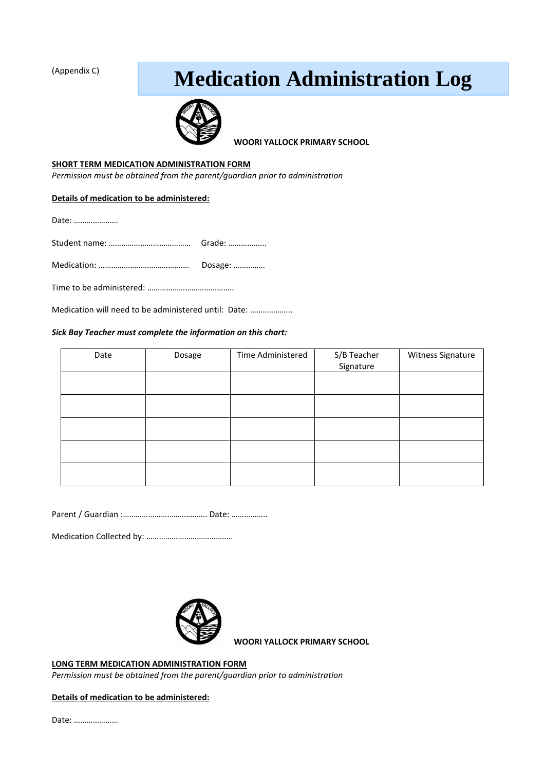(Appendix C)

# **Medication Administration Log**



**WOORI YALLOCK PRIMARY SCHOOL** 

#### **SHORT TERM MEDICATION ADMINISTRATION FORM**

*Permission must be obtained from the parent/guardian prior to administration*

|  |  | Details of medication to be administered: |
|--|--|-------------------------------------------|
|  |  |                                           |

Date: …………………

| Dosage: |
|---------|

Time to be administered: …………………………………..

Medication will need to be administered until: Date: ………………..

#### *Sick Bay Teacher must complete the information on this chart:*

| Date | Dosage | Time Administered | S/B Teacher<br>Signature | Witness Signature |
|------|--------|-------------------|--------------------------|-------------------|
|      |        |                   |                          |                   |
|      |        |                   |                          |                   |
|      |        |                   |                          |                   |
|      |        |                   |                          |                   |
|      |        |                   |                          |                   |

Parent / Guardian :…………………………………. Date: ……………..

Medication Collected by: …………………………………..



**WOORI YALLOCK PRIMARY SCHOOL** 

**LONG TERM MEDICATION ADMINISTRATION FORM**

*Permission must be obtained from the parent/guardian prior to administration*

**Details of medication to be administered:** 

Date: …………………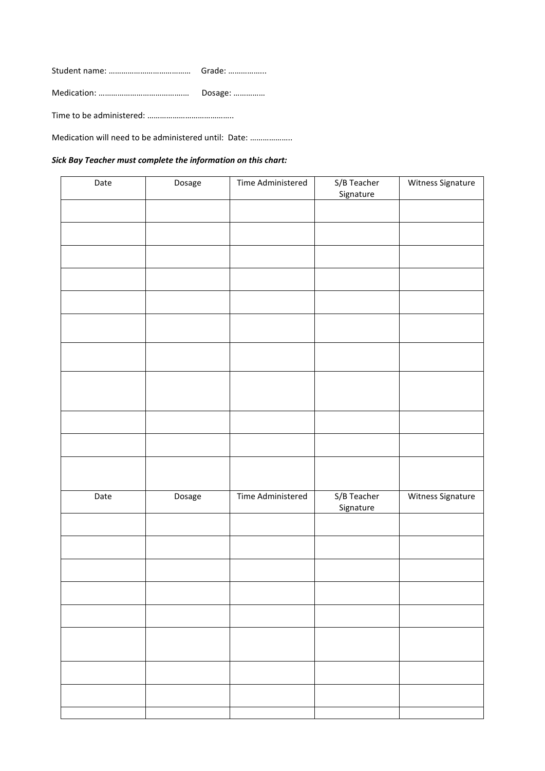Student name: ………………………………… Grade: ……………... Medication: ………………………………….… Dosage: …………… Time to be administered: …………………………………..

Medication will need to be administered until: Date: ………………..

#### *Sick Bay Teacher must complete the information on this chart:*

| Date | Dosage | Time Administered | S/B Teacher<br>Signature | Witness Signature |
|------|--------|-------------------|--------------------------|-------------------|
|      |        |                   |                          |                   |
|      |        |                   |                          |                   |
|      |        |                   |                          |                   |
|      |        |                   |                          |                   |
|      |        |                   |                          |                   |
|      |        |                   |                          |                   |
|      |        |                   |                          |                   |
|      |        |                   |                          |                   |
|      |        |                   |                          |                   |
|      |        |                   |                          |                   |
|      |        |                   |                          |                   |
|      |        |                   |                          |                   |
| Date | Dosage | Time Administered | S/B Teacher<br>Signature | Witness Signature |
|      |        |                   |                          |                   |
|      |        |                   |                          |                   |
|      |        |                   |                          |                   |
|      |        |                   |                          |                   |
|      |        |                   |                          |                   |
|      |        |                   |                          |                   |
|      |        |                   |                          |                   |
|      |        |                   |                          |                   |
|      |        |                   |                          |                   |